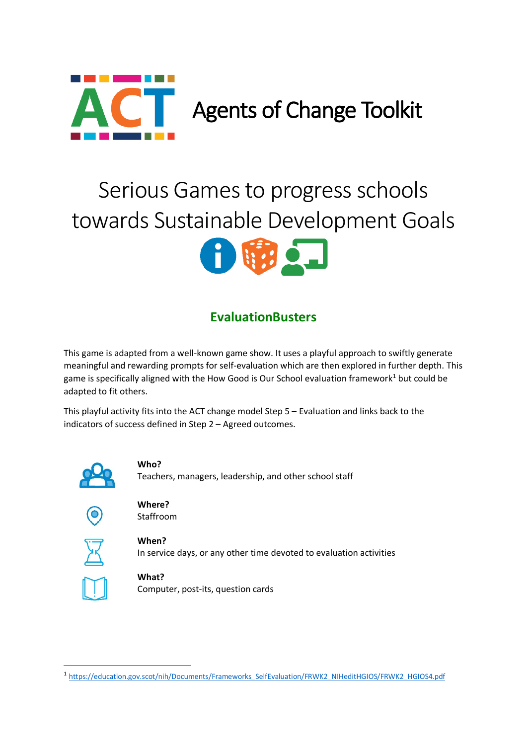

# Serious Games to progress schools towards Sustainable Development Goals



# **EvaluationBusters**

This game is adapted from a well-known game show. It uses a playful approach to swiftly generate meaningful and rewarding prompts for self-evaluation which are then explored in further depth. This game is specifically aligned with the How Good is Our School evaluation framework<sup>[1](#page-0-0)</sup> but could be adapted to fit others.

This playful activity fits into the ACT change model Step 5 – Evaluation and links back to the indicators of success defined in Step 2 – Agreed outcomes.



# **Who?**

Teachers, managers, leadership, and other school staff



**Where?** Staffroom



**When?** In service days, or any other time devoted to evaluation activities



**What?** Computer, post-its, question cards

<span id="page-0-0"></span> <sup>1</sup> [https://education.gov.scot/nih/Documents/Frameworks\\_SelfEvaluation/FRWK2\\_NIHeditHGIOS/FRWK2\\_HGIOS4.pdf](https://education.gov.scot/nih/Documents/Frameworks_SelfEvaluation/FRWK2_NIHeditHGIOS/FRWK2_HGIOS4.pdf)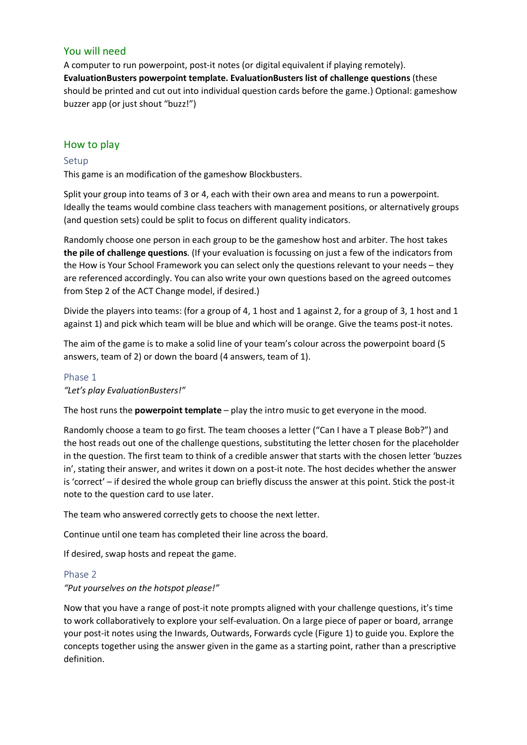## You will need

A computer to run powerpoint, post-it notes (or digital equivalent if playing remotely). **EvaluationBusters powerpoint template. EvaluationBusters list of challenge questions** (these should be printed and cut out into individual question cards before the game.) Optional: gameshow buzzer app (or just shout "buzz!")

## How to play

#### Setup

This game is an modification of the gameshow Blockbusters.

Split your group into teams of 3 or 4, each with their own area and means to run a powerpoint. Ideally the teams would combine class teachers with management positions, or alternatively groups (and question sets) could be split to focus on different quality indicators.

Randomly choose one person in each group to be the gameshow host and arbiter. The host takes **the pile of challenge questions**. (If your evaluation is focussing on just a few of the indicators from the How is Your School Framework you can select only the questions relevant to your needs – they are referenced accordingly. You can also write your own questions based on the agreed outcomes from Step 2 of the ACT Change model, if desired.)

Divide the players into teams: (for a group of 4, 1 host and 1 against 2, for a group of 3, 1 host and 1 against 1) and pick which team will be blue and which will be orange. Give the teams post-it notes.

The aim of the game is to make a solid line of your team's colour across the powerpoint board (5 answers, team of 2) or down the board (4 answers, team of 1).

# Phase 1

#### *"Let's play EvaluationBusters!"*

The host runs the **powerpoint template** – play the intro music to get everyone in the mood.

Randomly choose a team to go first. The team chooses a letter ("Can I have a T please Bob?") and the host reads out one of the challenge questions, substituting the letter chosen for the placeholder in the question. The first team to think of a credible answer that starts with the chosen letter 'buzzes in', stating their answer, and writes it down on a post-it note. The host decides whether the answer is 'correct' – if desired the whole group can briefly discuss the answer at this point. Stick the post-it note to the question card to use later.

The team who answered correctly gets to choose the next letter.

Continue until one team has completed their line across the board.

If desired, swap hosts and repeat the game.

#### Phase 2

#### *"Put yourselves on the hotspot please!"*

Now that you have a range of post-it note prompts aligned with your challenge questions, it's time to work collaboratively to explore your self-evaluation. On a large piece of paper or board, arrange your post-it notes using the Inwards, Outwards, Forwards cycle [\(Figure 1\)](#page-2-0) to guide you. Explore the concepts together using the answer given in the game as a starting point, rather than a prescriptive definition.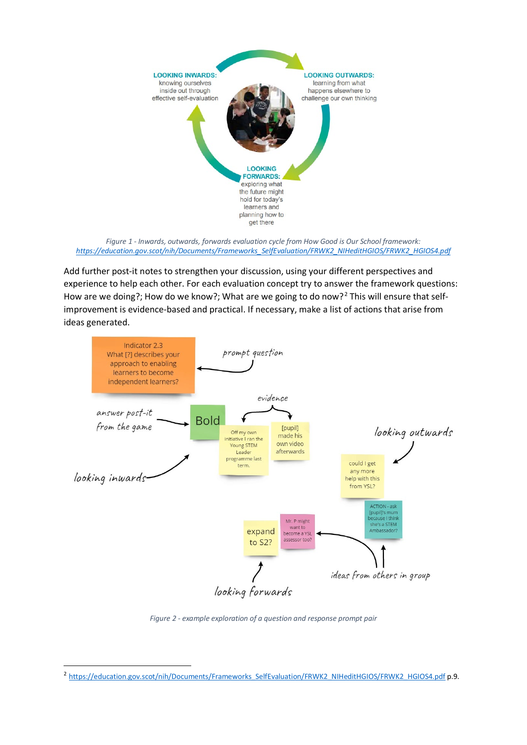

<span id="page-2-0"></span>*Figure 1 - Inwards, outwards, forwards evaluation cycle from How Good is Our School framework: [https://education.gov.scot/nih/Documents/Frameworks\\_SelfEvaluation/FRWK2\\_NIHeditHGIOS/FRWK2\\_HGIOS4.pdf](https://education.gov.scot/nih/Documents/Frameworks_SelfEvaluation/FRWK2_NIHeditHGIOS/FRWK2_HGIOS4.pdf)*

Add further post-it notes to strengthen your discussion, using your different perspectives and experience to help each other. For each evaluation concept try to answer the framework questions: How are we doing?; How do we know?; What are we going to do now?<sup>[2](#page-2-1)</sup> This will ensure that selfimprovement is evidence-based and practical. If necessary, make a list of actions that arise from ideas generated.



*Figure 2 - example exploration of a question and response prompt pair*

<span id="page-2-1"></span><sup>&</sup>lt;sup>2</sup> [https://education.gov.scot/nih/Documents/Frameworks\\_SelfEvaluation/FRWK2\\_NIHeditHGIOS/FRWK2\\_HGIOS4.pdf](https://education.gov.scot/nih/Documents/Frameworks_SelfEvaluation/FRWK2_NIHeditHGIOS/FRWK2_HGIOS4.pdf) p.9.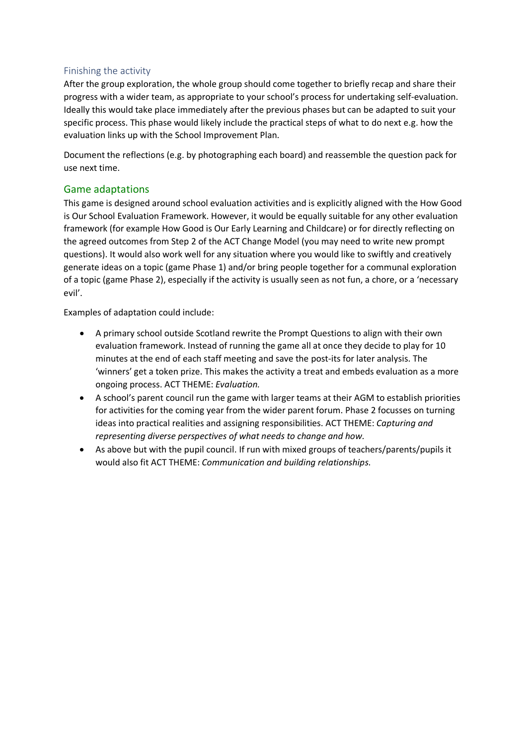## Finishing the activity

After the group exploration, the whole group should come together to briefly recap and share their progress with a wider team, as appropriate to your school's process for undertaking self-evaluation. Ideally this would take place immediately after the previous phases but can be adapted to suit your specific process. This phase would likely include the practical steps of what to do next e.g. how the evaluation links up with the School Improvement Plan.

Document the reflections (e.g. by photographing each board) and reassemble the question pack for use next time.

# Game adaptations

This game is designed around school evaluation activities and is explicitly aligned with the How Good is Our School Evaluation Framework. However, it would be equally suitable for any other evaluation framework (for example How Good is Our Early Learning and Childcare) or for directly reflecting on the agreed outcomes from Step 2 of the ACT Change Model (you may need to write new prompt questions). It would also work well for any situation where you would like to swiftly and creatively generate ideas on a topic (game Phase 1) and/or bring people together for a communal exploration of a topic (game Phase 2), especially if the activity is usually seen as not fun, a chore, or a 'necessary evil'.

Examples of adaptation could include:

- A primary school outside Scotland rewrite the Prompt Questions to align with their own evaluation framework. Instead of running the game all at once they decide to play for 10 minutes at the end of each staff meeting and save the post-its for later analysis. The 'winners' get a token prize. This makes the activity a treat and embeds evaluation as a more ongoing process. ACT THEME: *Evaluation.*
- A school's parent council run the game with larger teams at their AGM to establish priorities for activities for the coming year from the wider parent forum. Phase 2 focusses on turning ideas into practical realities and assigning responsibilities. ACT THEME: *Capturing and representing diverse perspectives of what needs to change and how.*
- As above but with the pupil council. If run with mixed groups of teachers/parents/pupils it would also fit ACT THEME: *Communication and building relationships*.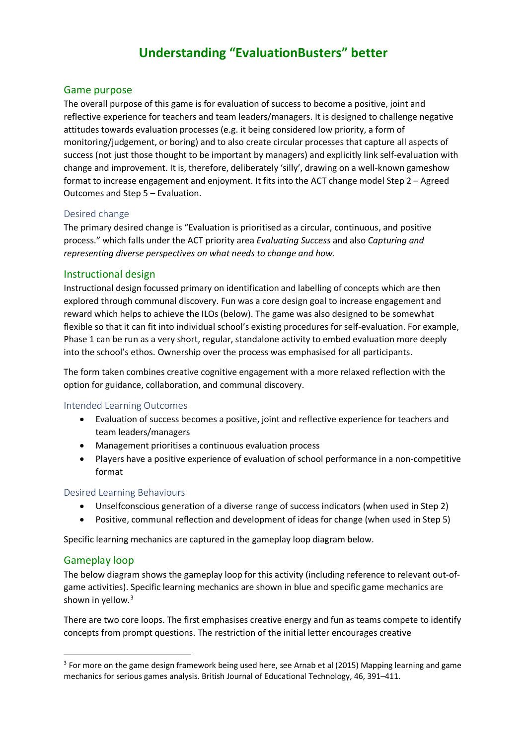# **Understanding "EvaluationBusters" better**

#### Game purpose

The overall purpose of this game is for evaluation of success to become a positive, joint and reflective experience for teachers and team leaders/managers. It is designed to challenge negative attitudes towards evaluation processes (e.g. it being considered low priority, a form of monitoring/judgement, or boring) and to also create circular processes that capture all aspects of success (not just those thought to be important by managers) and explicitly link self-evaluation with change and improvement. It is, therefore, deliberately 'silly', drawing on a well-known gameshow format to increase engagement and enjoyment. It fits into the ACT change model Step 2 – Agreed Outcomes and Step 5 – Evaluation.

#### Desired change

The primary desired change is "Evaluation is prioritised as a circular, continuous, and positive process." which falls under the ACT priority area *Evaluating Success* and also *Capturing and representing diverse perspectives on what needs to change and how.*

#### Instructional design

Instructional design focussed primary on identification and labelling of concepts which are then explored through communal discovery. Fun was a core design goal to increase engagement and reward which helps to achieve the ILOs (below). The game was also designed to be somewhat flexible so that it can fit into individual school's existing procedures for self-evaluation. For example, Phase 1 can be run as a very short, regular, standalone activity to embed evaluation more deeply into the school's ethos. Ownership over the process was emphasised for all participants.

The form taken combines creative cognitive engagement with a more relaxed reflection with the option for guidance, collaboration, and communal discovery.

#### Intended Learning Outcomes

- Evaluation of success becomes a positive, joint and reflective experience for teachers and team leaders/managers
- Management prioritises a continuous evaluation process
- Players have a positive experience of evaluation of school performance in a non-competitive format

#### Desired Learning Behaviours

- Unselfconscious generation of a diverse range of success indicators (when used in Step 2)
- Positive, communal reflection and development of ideas for change (when used in Step 5)

Specific learning mechanics are captured in the gameplay loop diagram below.

#### Gameplay loop

The below diagram shows the gameplay loop for this activity (including reference to relevant out-ofgame activities). Specific learning mechanics are shown in blue and specific game mechanics are shown in yellow.<sup>[3](#page-4-0)</sup>

There are two core loops. The first emphasises creative energy and fun as teams compete to identify concepts from prompt questions. The restriction of the initial letter encourages creative

<span id="page-4-0"></span><sup>&</sup>lt;sup>3</sup> For more on the game design framework being used here, see Arnab et al (2015) Mapping learning and game mechanics for serious games analysis. British Journal of Educational Technology, 46, 391–411.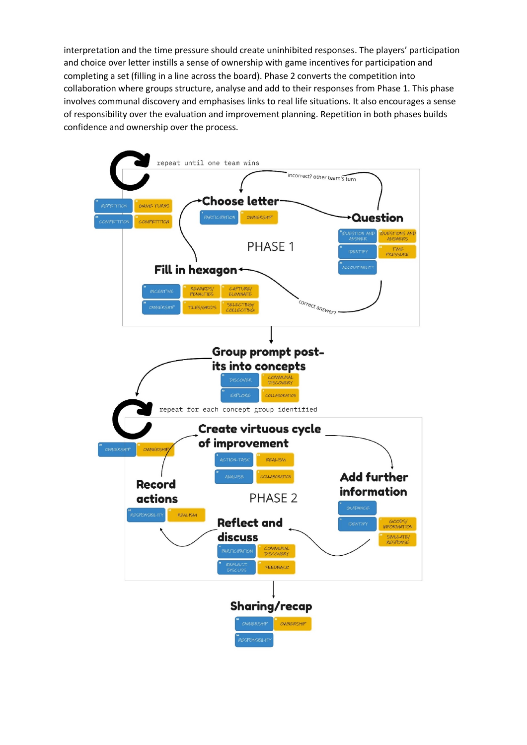interpretation and the time pressure should create uninhibited responses. The players' participation and choice over letter instills a sense of ownership with game incentives for participation and completing a set (filling in a line across the board). Phase 2 converts the competition into collaboration where groups structure, analyse and add to their responses from Phase 1. This phase involves communal discovery and emphasises links to real life situations. It also encourages a sense of responsibility over the evaluation and improvement planning. Repetition in both phases builds confidence and ownership over the process.